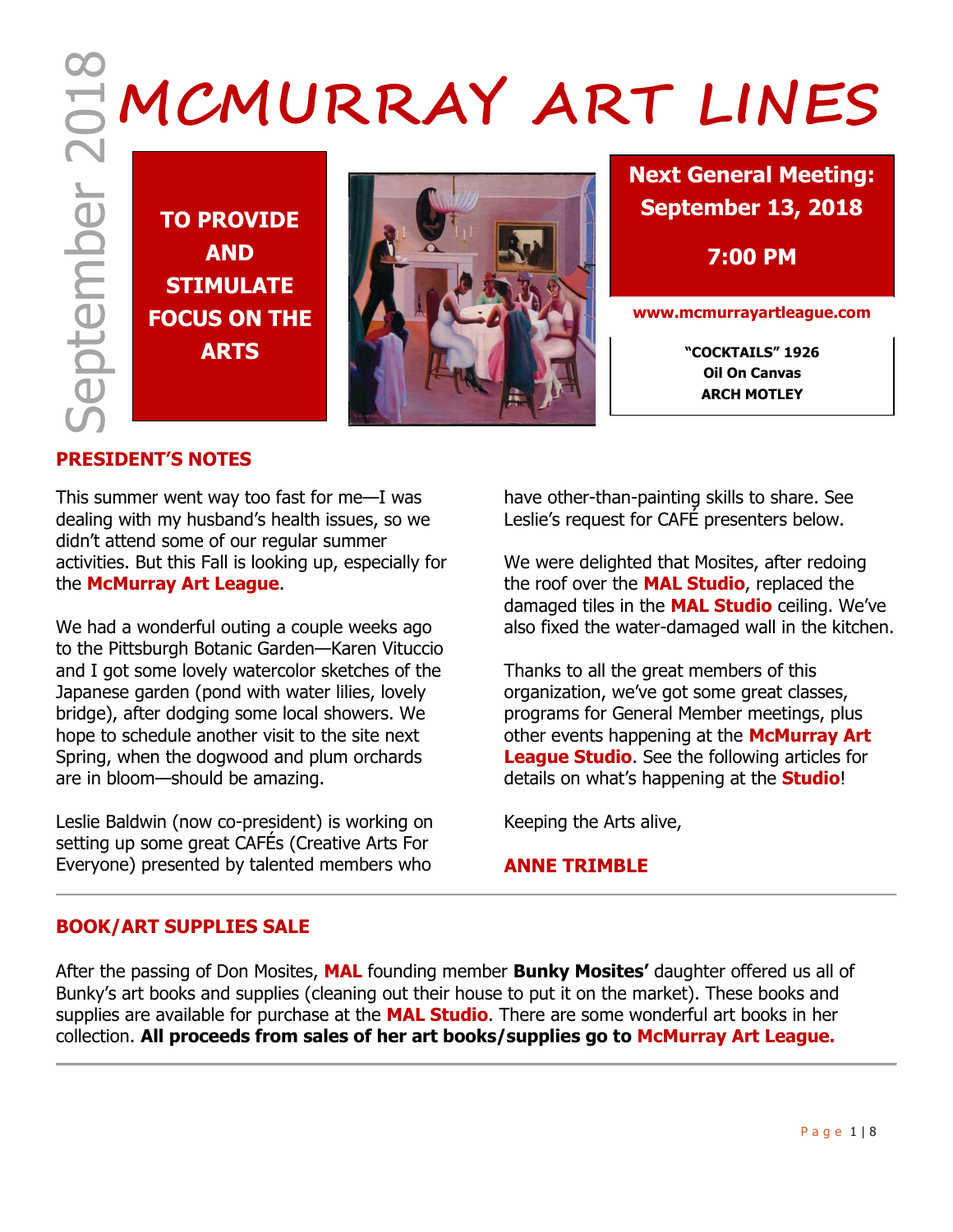**TO PROVIDE AND STIMULATE FOCUS ON THE**



**Next General Meeting: September 13, 2018**

**7:00 PM**

**www.mcmurrayartleague.com**

**Oil On Canvas ARCH MOTLEY**

## **PRESIDENT'S NOTES**

This summer went way too fast for me—I was dealing with my husband's health issues, so we didn't attend some of our regular summer activities. But this Fall is looking up, especially for the **McMurray Art League**.

We had a wonderful outing a couple weeks ago to the Pittsburgh Botanic Garden—Karen Vituccio and I got some lovely watercolor sketches of the Japanese garden (pond with water lilies, lovely bridge), after dodging some local showers. We hope to schedule another visit to the site next Spring, when the dogwood and plum orchards are in bloom—should be amazing.

Leslie Baldwin (now co-president) is working on setting up some great CAFÉs (Creative Arts For Everyone) presented by talented members who

have other-than-painting skills to share. See Leslie's request for CAFÉ presenters below.

We were delighted that Mosites, after redoing the roof over the **MAL Studio**, replaced the damaged tiles in the **MAL Studio** ceiling. We've also fixed the water-damaged wall in the kitchen.

Thanks to all the great members of this organization, we've got some great classes, programs for General Member meetings, plus other events happening at the **McMurray Art League Studio**. See the following articles for details on what's happening at the **Studio**!

Keeping the Arts alive,

## **ANNE TRIMBLE**

## **BOOK/ART SUPPLIES SALE**

After the passing of Don Mosites, **MAL** founding member **Bunky Mosites'** daughter offered us all of Bunky's art books and supplies (cleaning out their house to put it on the market). These books and supplies are available for purchase at the **MAL Studio**. There are some wonderful art books in her collection. **All proceeds from sales of her art books/supplies go to McMurray Art League.**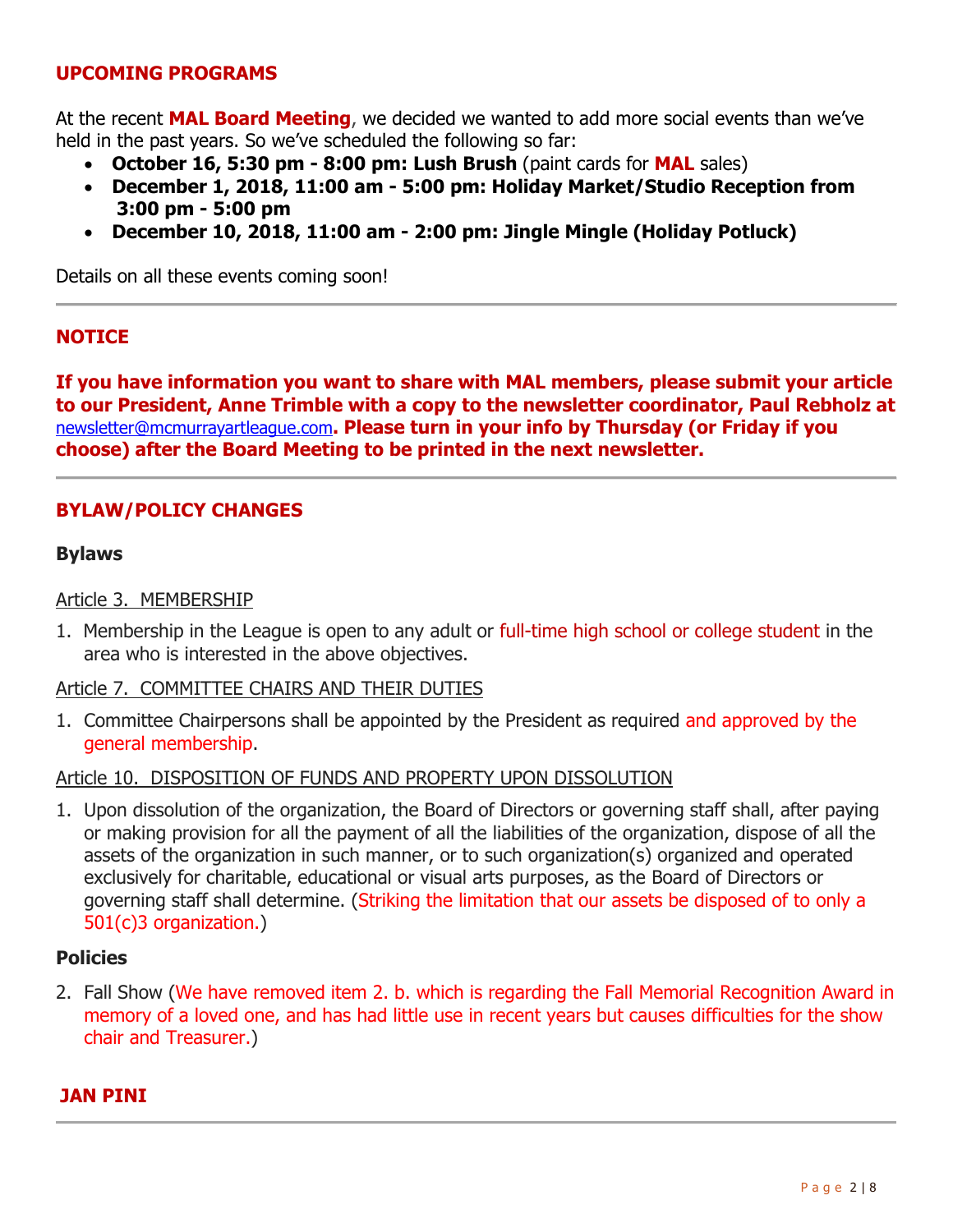## **UPCOMING PROGRAMS**

At the recent **MAL Board Meeting**, we decided we wanted to add more social events than we've held in the past years. So we've scheduled the following so far:

- **October 16, 5:30 pm - 8:00 pm: Lush Brush** (paint cards for **MAL** sales)
- **December 1, 2018, 11:00 am - 5:00 pm: Holiday Market/Studio Reception from 3:00 pm - 5:00 pm**
- **December 10, 2018, 11:00 am - 2:00 pm: Jingle Mingle (Holiday Potluck)**

Details on all these events coming soon!

## **NOTICE**

**If you have information you want to share with MAL members, please submit your article to our President, Anne Trimble with a copy to the newsletter coordinator, Paul Rebholz at**  [newsletter@mcmurrayartleague.com](mailto:newsletter@mcmurrayartleague.com)**. Please turn in your info by Thursday (or Friday if you choose) after the Board Meeting to be printed in the next newsletter.**

## **BYLAW/POLICY CHANGES**

#### **Bylaws**

#### Article 3. MEMBERSHIP

1. Membership in the League is open to any adult or full-time high school or college student in the area who is interested in the above objectives.

#### Article 7. COMMITTEE CHAIRS AND THEIR DUTIES

1. Committee Chairpersons shall be appointed by the President as required and approved by the general membership.

#### Article 10. DISPOSITION OF FUNDS AND PROPERTY UPON DISSOLUTION

1. Upon dissolution of the organization, the Board of Directors or governing staff shall, after paying or making provision for all the payment of all the liabilities of the organization, dispose of all the assets of the organization in such manner, or to such organization(s) organized and operated exclusively for charitable, educational or visual arts purposes, as the Board of Directors or governing staff shall determine. (Striking the limitation that our assets be disposed of to only a 501(c)3 organization.)

#### **Policies**

2. Fall Show (We have removed item 2. b. which is regarding the Fall Memorial Recognition Award in memory of a loved one, and has had little use in recent years but causes difficulties for the show chair and Treasurer.)

## **JAN PINI**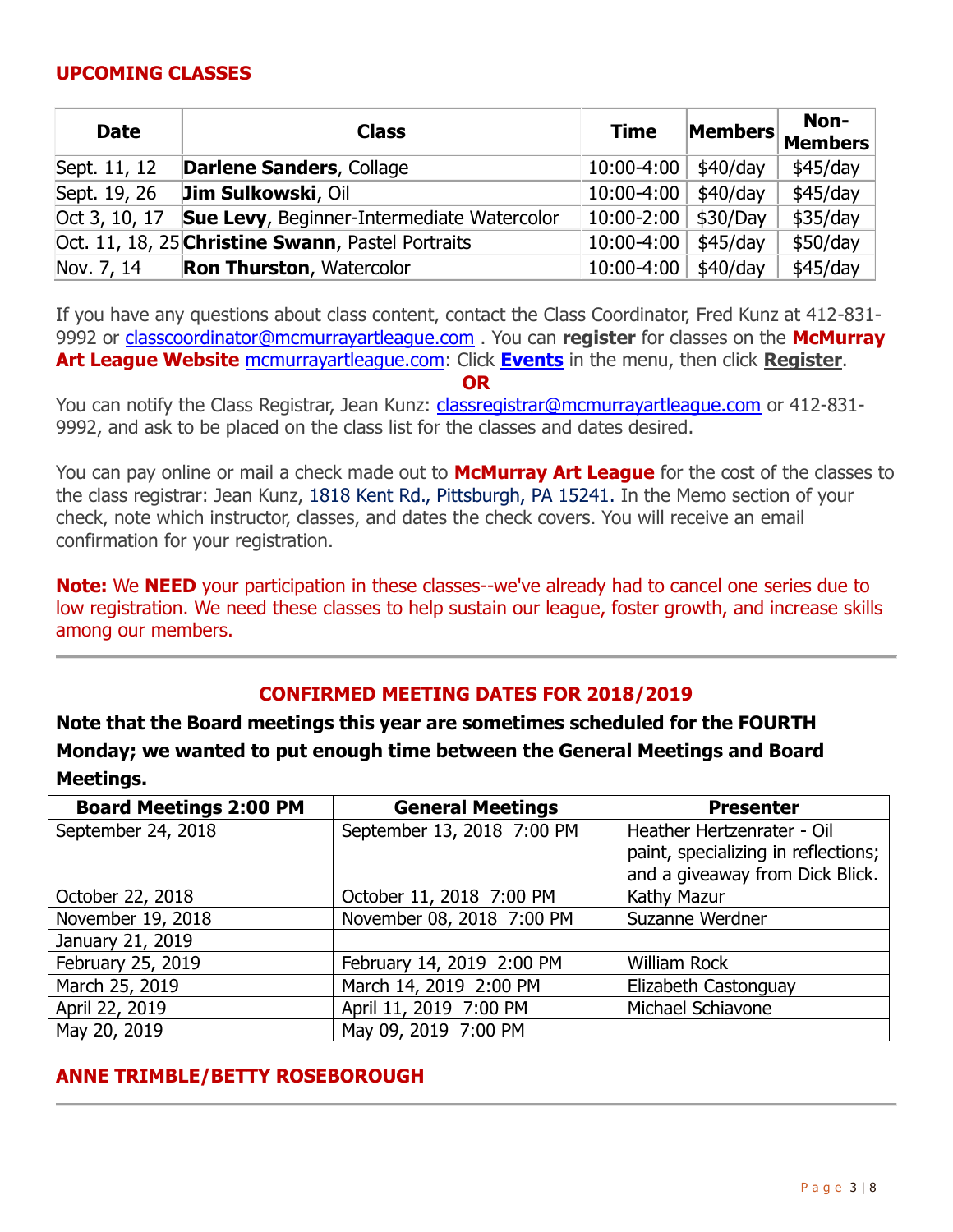## **UPCOMING CLASSES**

| <b>Date</b>   | <b>Class</b>                                      | <b>Time</b> | Members    | Non-<br><b>Members</b> |
|---------------|---------------------------------------------------|-------------|------------|------------------------|
| Sept. 11, 12  | <b>Darlene Sanders, Collage</b>                   | 10:00-4:00  | $$40$ /day | \$45/day               |
| Sept. 19, 26  | Jim Sulkowski, Oil                                | 10:00-4:00  | $$40$ /day | $$45$ /day             |
| Oct 3, 10, 17 | <b>Sue Levy, Beginner-Intermediate Watercolor</b> | 10:00-2:00  | \$30/Day   | \$35/day               |
|               | Oct. 11, 18, 25 Christine Swann, Pastel Portraits | 10:00-4:00  | $$45$ /day | \$50/day               |
| Nov. 7, 14    | <b>Ron Thurston, Watercolor</b>                   | 10:00-4:00  | \$40/day   | \$45/day               |

If you have any questions about class content, contact the Class Coordinator, Fred Kunz at 412-831- 9992 or [classcoordinator@mcmurrayartleague.com](mailto:classcoordinator@mcmurrayartleague.com) . You can **register** for classes on the **McMurray Art League Website** [mcmurrayartleague.com:](http://mcmurrayartleague.com/) Click **[Events](https://www.mcmurrayartleague.com/page-1498580)** in the menu, then click **Register**.

**OR**

You can notify the Class Registrar, Jean Kunz: [classregistrar@mcmurrayartleague.com](mailto:classregistrar@mcmurrayartleague.com) or 412-831-9992, and ask to be placed on the class list for the classes and dates desired.

You can pay online or mail a check made out to **McMurray Art League** for the cost of the classes to the class registrar: Jean Kunz, 1818 Kent Rd., Pittsburgh, PA 15241. In the Memo section of your check, note which instructor, classes, and dates the check covers. You will receive an email confirmation for your registration.

**Note:** We **NEED** your participation in these classes--we've already had to cancel one series due to low registration. We need these classes to help sustain our league, foster growth, and increase skills among our members.

## **CONFIRMED MEETING DATES FOR 2018/2019**

**Note that the Board meetings this year are sometimes scheduled for the FOURTH Monday; we wanted to put enough time between the General Meetings and Board Meetings.**

| <b>Board Meetings 2:00 PM</b> | <b>General Meetings</b>    | <b>Presenter</b>                    |  |
|-------------------------------|----------------------------|-------------------------------------|--|
| September 24, 2018            | September 13, 2018 7:00 PM | Heather Hertzenrater - Oil          |  |
|                               |                            | paint, specializing in reflections; |  |
|                               |                            | and a giveaway from Dick Blick.     |  |
| October 22, 2018              | October 11, 2018 7:00 PM   | Kathy Mazur                         |  |
| November 19, 2018             | November 08, 2018 7:00 PM  | Suzanne Werdner                     |  |
| January 21, 2019              |                            |                                     |  |
| February 25, 2019             | February 14, 2019 2:00 PM  | <b>William Rock</b>                 |  |
| March 25, 2019                | March 14, 2019 2:00 PM     | Elizabeth Castonguay                |  |
| April 22, 2019                | April 11, 2019 7:00 PM     | Michael Schiavone                   |  |
| May 20, 2019                  | May 09, 2019 7:00 PM       |                                     |  |

## **ANNE TRIMBLE/BETTY ROSEBOROUGH**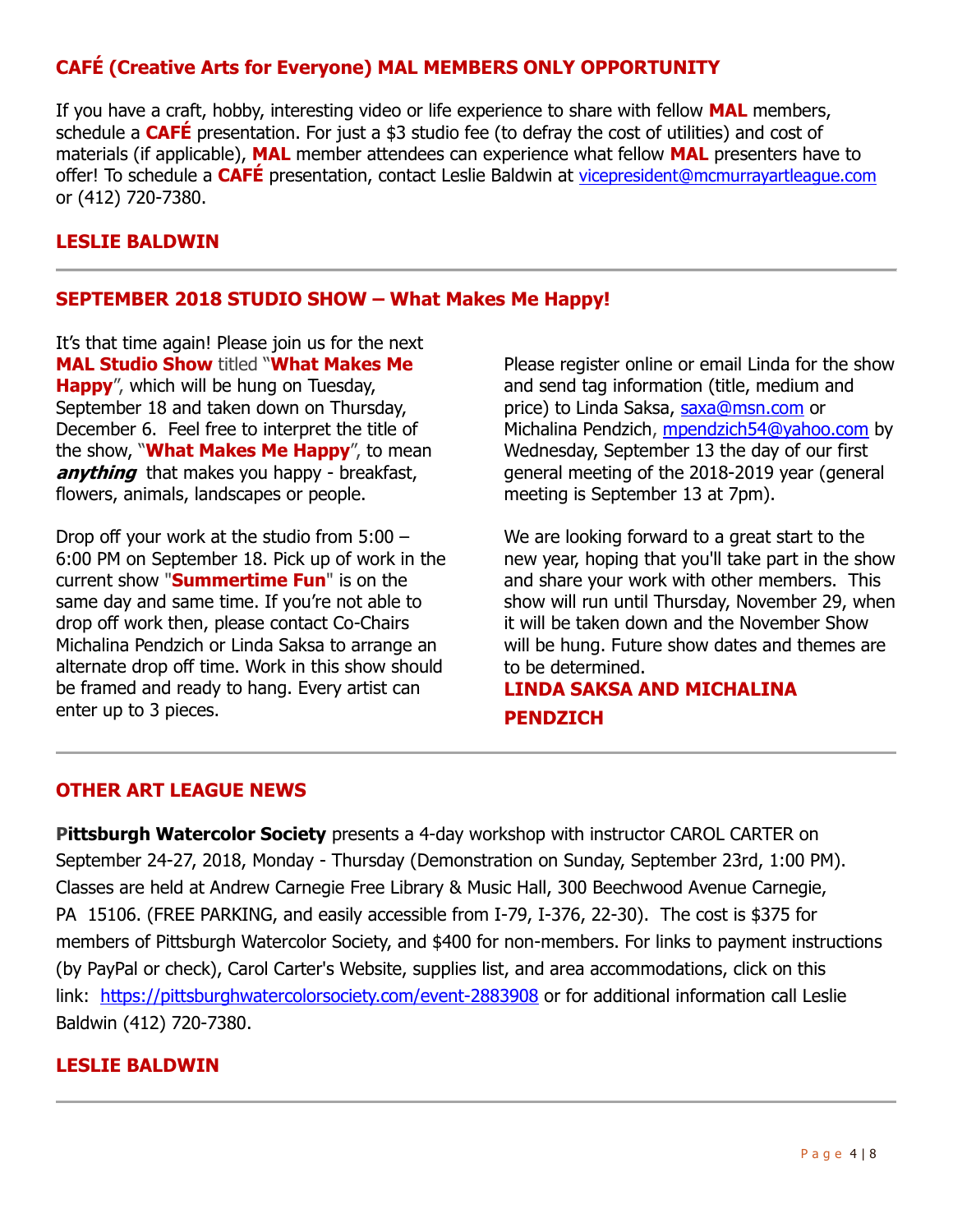# **CAFÉ (Creative Arts for Everyone) MAL MEMBERS ONLY OPPORTUNITY**

If you have a craft, hobby, interesting video or life experience to share with fellow **MAL** members, schedule a **CAFÉ** presentation. For just a \$3 studio fee (to defray the cost of utilities) and cost of materials (if applicable), **MAL** member attendees can experience what fellow **MAL** presenters have to offer! To schedule a **CAFÉ** presentation, contact Leslie Baldwin at [vicepresident@mcmurrayartleague.com](mailto:vicepresident@mcmurrayartleague.com) or (412) 720-7380.

## **LESLIE BALDWIN**

#### **SEPTEMBER 2018 STUDIO SHOW – What Makes Me Happy!**

It's that time again! Please join us for the next **MAL Studio Show** titled ―**What Makes Me Happy**", which will be hung on Tuesday, September 18 and taken down on Thursday, December 6. Feel free to interpret the title of the show, "**What Makes Me Happy**", to mean **anything** that makes you happy - breakfast, flowers, animals, landscapes or people.

Drop off your work at the studio from 5:00 – 6:00 PM on September 18. Pick up of work in the current show "**Summertime Fun**" is on the same day and same time. If you're not able to drop off work then, please contact Co-Chairs Michalina Pendzich or Linda Saksa to arrange an alternate drop off time. Work in this show should be framed and ready to hang. Every artist can enter up to 3 pieces.

Please register online or email Linda for the show and send tag information (title, medium and price) to Linda Saksa, [saxa@msn.com](mailto:saxa@msn.com) or Michalina Pendzich, [mpendzich54@yahoo.com](mailto:mpendzich54@yahoo.com) by Wednesday, September 13 the day of our first general meeting of the 2018-2019 year (general meeting is September 13 at 7pm).

We are looking forward to a great start to the new year, hoping that you'll take part in the show and share your work with other members. This show will run until Thursday, November 29, when it will be taken down and the November Show will be hung. Future show dates and themes are to be determined.

# **LINDA SAKSA AND MICHALINA PENDZICH**

#### **OTHER ART LEAGUE NEWS**

**Pittsburgh Watercolor Society** presents a 4-day workshop with instructor CAROL CARTER on September 24-27, 2018, Monday - Thursday (Demonstration on Sunday, September 23rd, 1:00 PM). Classes are held at Andrew Carnegie Free Library & Music Hall, 300 Beechwood Avenue Carnegie, PA 15106. (FREE PARKING, and easily accessible from I-79, I-376, 22-30). The cost is \$375 for members of Pittsburgh Watercolor Society, and \$400 for non-members. For links to payment instructions (by PayPal or check), Carol Carter's Website, supplies list, and area accommodations, click on this link: <https://pittsburghwatercolorsociety.com/event-2883908> or for additional information call Leslie Baldwin (412) 720-7380.

#### **LESLIE BALDWIN**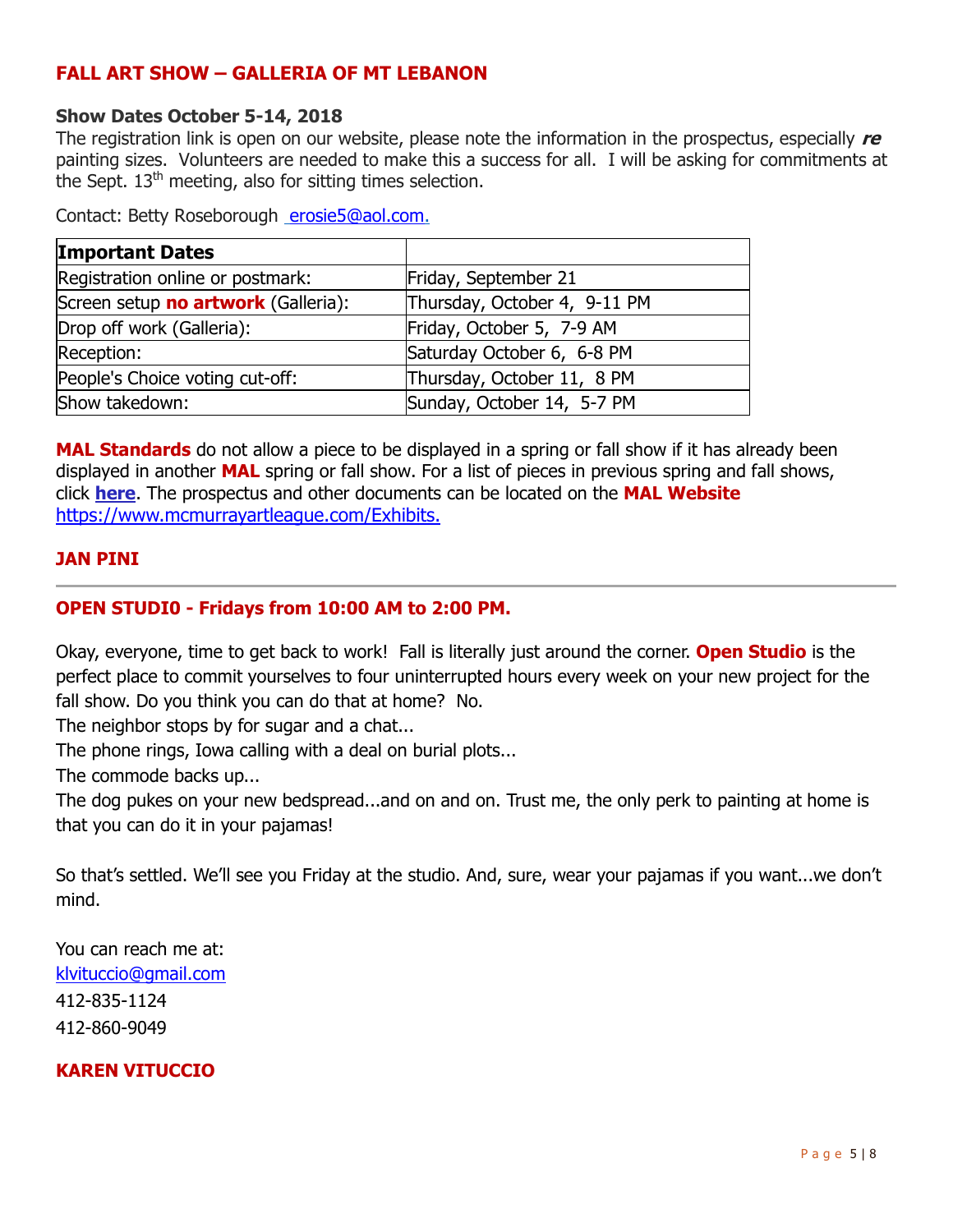## **FALL ART SHOW – GALLERIA OF MT LEBANON**

### **Show Dates October 5-14, 2018**

The registration link is open on our website, please note the information in the prospectus, especially **re** painting sizes. Volunteers are needed to make this a success for all. I will be asking for commitments at the Sept. 13<sup>th</sup> meeting, also for sitting times selection.

Contact: Betty Roseborough [erosie5@aol.com.](mailto:erosie5@aol.com)

| <b>Important Dates</b>              |                              |  |
|-------------------------------------|------------------------------|--|
| Registration online or postmark:    | Friday, September 21         |  |
| Screen setup no artwork (Galleria): | Thursday, October 4, 9-11 PM |  |
| Drop off work (Galleria):           | Friday, October 5, 7-9 AM    |  |
| Reception:                          | Saturday October 6, 6-8 PM   |  |
| People's Choice voting cut-off:     | Thursday, October 11, 8 PM   |  |
| Show takedown:                      | Sunday, October 14, 5-7 PM   |  |

**MAL Standards** do not allow a piece to be displayed in a spring or fall show if it has already been displayed in another **MAL** spring or fall show. For a list of pieces in previous spring and fall shows, click **[here](https://www.mcmurrayartleague.com/Past-Exhibits)**. The prospectus and other documents can be located on the **MAL Website**  <https://www.mcmurrayartleague.com/Exhibits.>

### **JAN PINI**

## **OPEN STUDI0 - Fridays from 10:00 AM to 2:00 PM.**

Okay, everyone, time to get back to work! Fall is literally just around the corner. **Open Studio** is the perfect place to commit yourselves to four uninterrupted hours every week on your new project for the fall show. Do you think you can do that at home? No.

The neighbor stops by for sugar and a chat...

The phone rings, Iowa calling with a deal on burial plots...

The commode backs up...

The dog pukes on your new bedspread...and on and on. Trust me, the only perk to painting at home is that you can do it in your pajamas!

So that's settled. We'll see you Friday at the studio. And, sure, wear your pajamas if you want...we don't mind.

You can reach me at: [klvituccio@gmail.com](mailto:klvituccio@gmail.com) 412-835-1124 412-860-9049

## **KAREN VITUCCIO**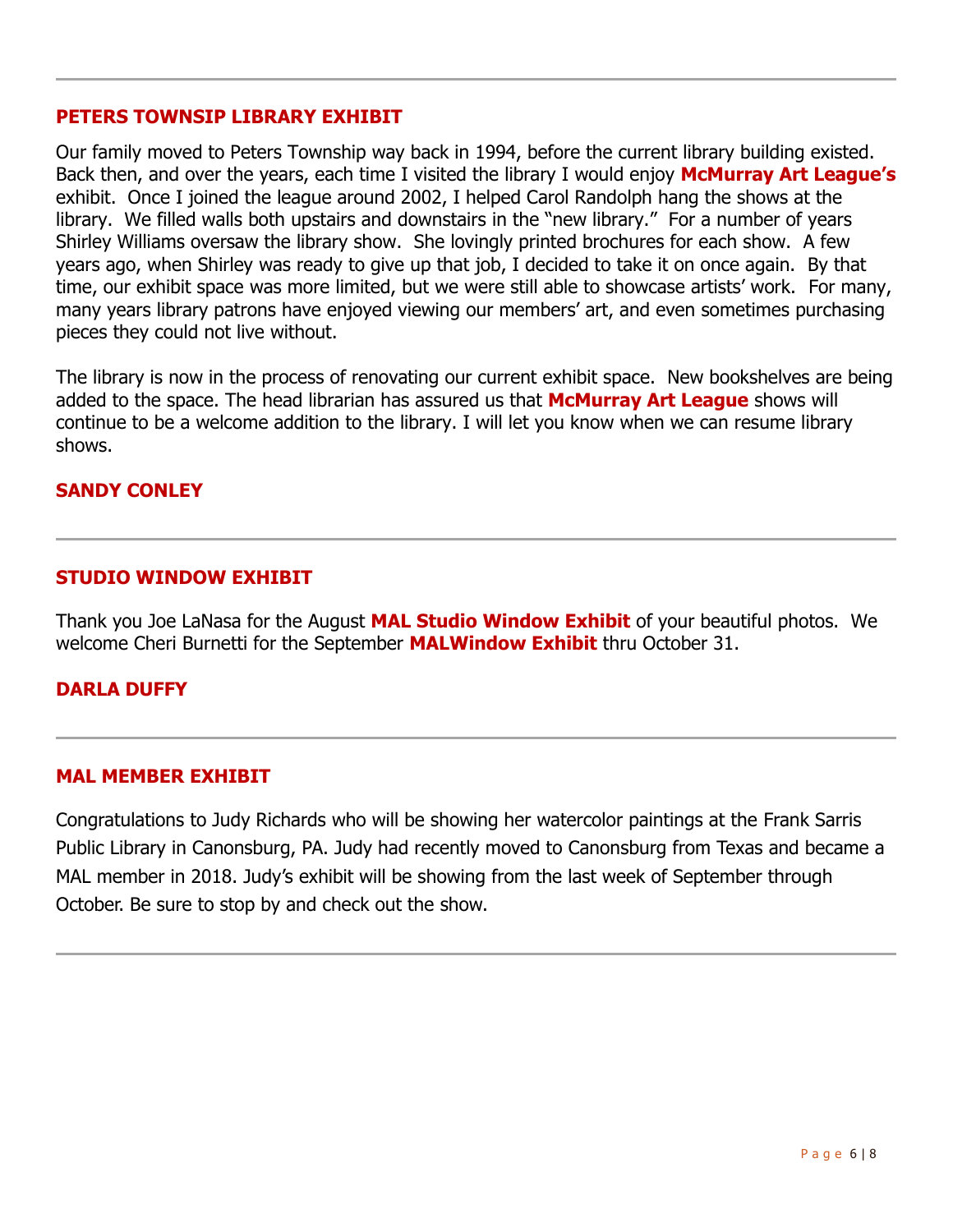## **PETERS TOWNSIP LIBRARY EXHIBIT**

Our family moved to Peters Township way back in 1994, before the current library building existed. Back then, and over the years, each time I visited the library I would enjoy **McMurray Art League's**  exhibit. Once I joined the league around 2002, I helped Carol Randolph hang the shows at the library. We filled walls both upstairs and downstairs in the "new library." For a number of years Shirley Williams oversaw the library show. She lovingly printed brochures for each show. A few years ago, when Shirley was ready to give up that job, I decided to take it on once again. By that time, our exhibit space was more limited, but we were still able to showcase artists' work. For many, many years library patrons have enjoyed viewing our members' art, and even sometimes purchasing pieces they could not live without.

The library is now in the process of renovating our current exhibit space. New bookshelves are being added to the space. The head librarian has assured us that **McMurray Art League** shows will continue to be a welcome addition to the library. I will let you know when we can resume library shows.

## **SANDY CONLEY**

## **STUDIO WINDOW EXHIBIT**

Thank you Joe LaNasa for the August **MAL Studio Window Exhibit** of your beautiful photos. We welcome Cheri Burnetti for the September **MALWindow Exhibit** thru October 31.

## **DARLA DUFFY**

#### **MAL MEMBER EXHIBIT**

Congratulations to Judy Richards who will be showing her watercolor paintings at the Frank Sarris Public Library in Canonsburg, PA. Judy had recently moved to Canonsburg from Texas and became a MAL member in 2018. Judy's exhibit will be showing from the last week of September through October. Be sure to stop by and check out the show.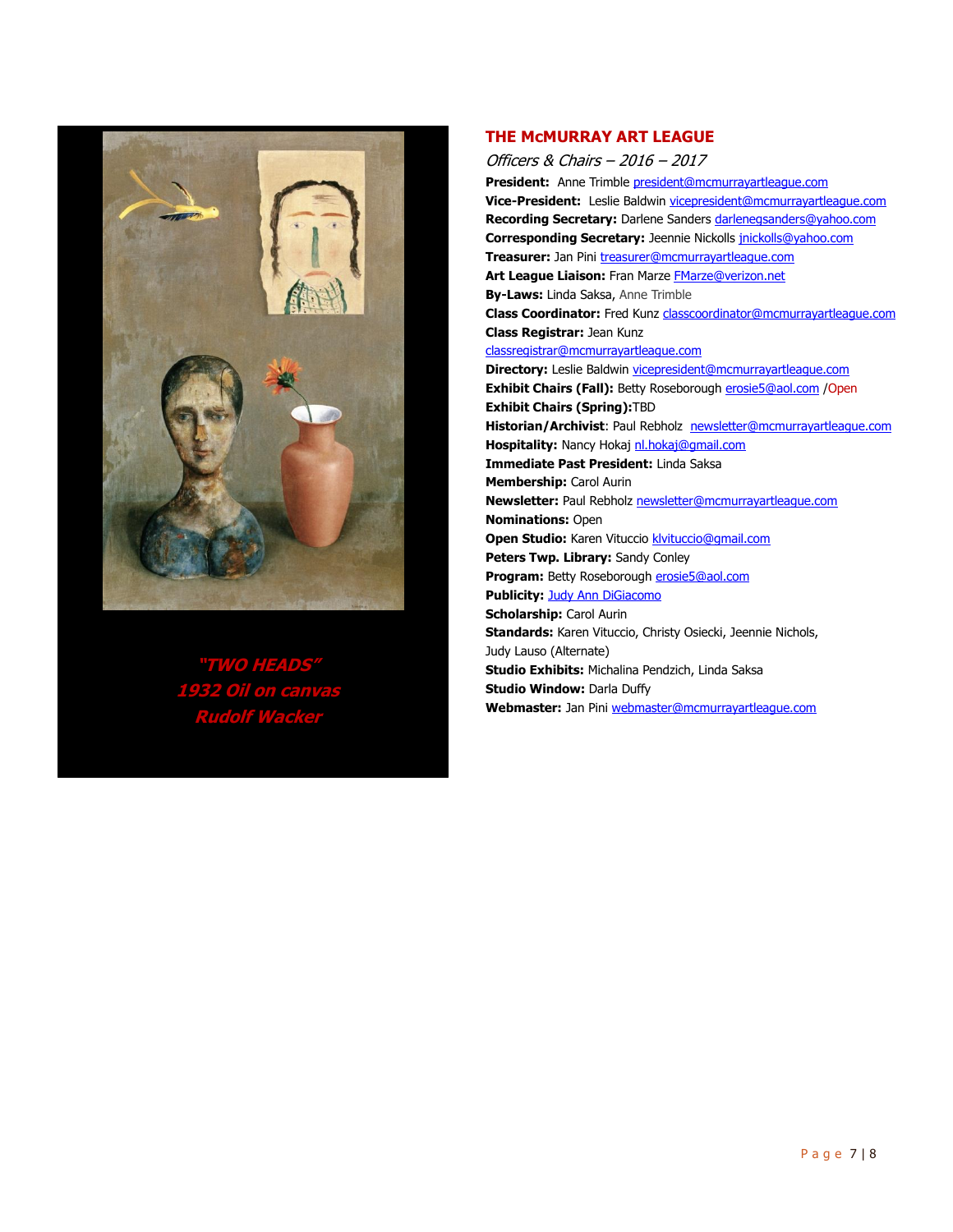

**"TWO HEADS" 1932 Oil on canvas Rudolf Wacker**

#### **THE McMURRAY ART LEAGUE**

Officers & Chairs – 2016 – 2017 **President:** Anne Trimble president@mcmurrayartleague.com **Vice-President:** Leslie Baldwin vicepresident@mcmurrayartleague.com **Recording Secretary:** Darlene Sanders darlenegsanders@yahoo.com **Corresponding Secretary:** Jeennie Nickolls jnickolls@yahoo.com **Treasurer:** Jan Pini treasurer@mcmurrayartleague.com Art League Liaison: Fran Marze FMarze@verizon.net **By-Laws:** Linda Saksa, Anne Trimble **Class Coordinator:** Fred Kunz classcoordinator@mcmurrayartleague.com **Class Registrar:** Jean Kunz classregistrar@mcmurrayartleague.com **Directory:** Leslie Baldwin vicepresident@mcmurrayartleague.com **Exhibit Chairs (Fall):** Betty Roseborough **erosie5@aol.com** / Open **Exhibit Chairs (Spring):**TBD Historian/Archivist: Paul Rebholz newsletter@mcmurrayartleague.com **Hospitality:** Nancy Hokaj nl.hokaj@gmail.com **Immediate Past President:** Linda Saksa **Membership:** Carol Aurin **Newsletter:** Paul Rebholz newsletter@mcmurrayartleague.com **Nominations:** Open **Open Studio:** Karen Vituccio **klvituccio@gmail.com Peters Twp. Library:** Sandy Conley **Program:** Betty Roseborough erosie5@aol.com **Publicity: Judy Ann DiGiacomo Scholarship:** Carol Aurin **Standards:** Karen Vituccio, Christy Osiecki, Jeennie Nichols, Judy Lauso (Alternate) **Studio Exhibits:** Michalina Pendzich, Linda Saksa **Studio Window: Darla Duffy Webmaster:** Jan Pini webmaster@mcmurrayartleague.com